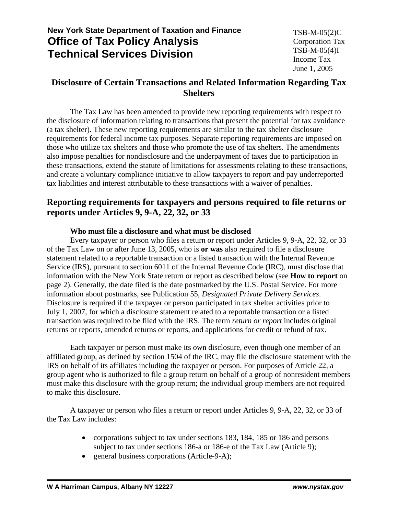# **New York State Department of Taxation and Finance Office of Tax Policy Analysis Technical Services Division**

## **Disclosure of Certain Transactions and Related Information Regarding Tax Shelters**

The Tax Law has been amended to provide new reporting requirements with respect to the disclosure of information relating to transactions that present the potential for tax avoidance (a tax shelter). These new reporting requirements are similar to the tax shelter disclosure requirements for federal income tax purposes. Separate reporting requirements are imposed on those who utilize tax shelters and those who promote the use of tax shelters. The amendments also impose penalties for nondisclosure and the underpayment of taxes due to participation in these transactions, extend the statute of limitations for assessments relating to these transactions, and create a voluntary compliance initiative to allow taxpayers to report and pay underreported tax liabilities and interest attributable to these transactions with a waiver of penalties.

## **Reporting requirements for taxpayers and persons required to file returns or reports under Articles 9, 9-A, 22, 32, or 33**

### **Who must file a disclosure and what must be disclosed**

Every taxpayer or person who files a return or report under Articles 9, 9-A, 22, 32, or 33 of the Tax Law on or after June 13, 2005, who is **or was** also required to file a disclosure statement related to a reportable transaction or a listed transaction with the Internal Revenue Service (IRS), pursuant to section 6011 of the Internal Revenue Code (IRC), must disclose that information with the New York State return or report as described below (see **How to report** on page 2). Generally, the date filed is the date postmarked by the U.S. Postal Service. For more information about postmarks, see Publication 55, *Designated Private Delivery Services*. Disclosure is required if the taxpayer or person participated in tax shelter activities prior to July 1, 2007, for which a disclosure statement related to a reportable transaction or a listed transaction was required to be filed with the IRS. The term *return or report* includes original returns or reports, amended returns or reports, and applications for credit or refund of tax.

Each taxpayer or person must make its own disclosure, even though one member of an affiliated group, as defined by section 1504 of the IRC, may file the disclosure statement with the IRS on behalf of its affiliates including the taxpayer or person. For purposes of Article 22, a group agent who is authorized to file a group return on behalf of a group of nonresident members must make this disclosure with the group return; the individual group members are not required to make this disclosure.

A taxpayer or person who files a return or report under Articles 9, 9-A, 22, 32, or 33 of the Tax Law includes:

- corporations subject to tax under sections 183, 184, 185 or 186 and persons subject to tax under sections 186-a or 186-e of the Tax Law (Article 9);
- general business corporations (Article-9-A);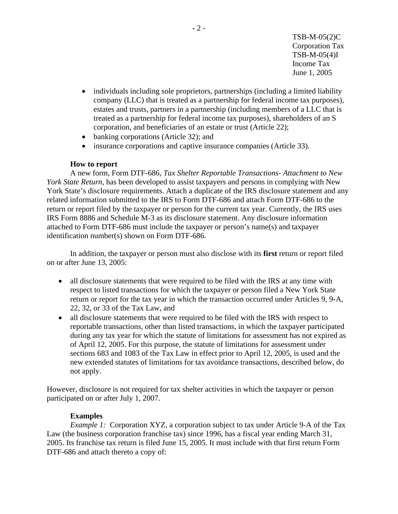- individuals including sole proprietors, partnerships (including a limited liability company (LLC) that is treated as a partnership for federal income tax purposes), estates and trusts, partners in a partnership (including members of a LLC that is treated as a partnership for federal income tax purposes), shareholders of an S corporation, and beneficiaries of an estate or trust (Article 22);
- banking corporations (Article 32); and
- insurance corporations and captive insurance companies (Article 33).

#### **How to report**

A new form, Form DTF-686, *Tax Shelter Reportable Transactions- Attachment to New York State Return,* has been developed to assist taxpayers and persons in complying with New York State's disclosure requirements. Attach a duplicate of the IRS disclosure statement and any related information submitted to the IRS to Form DTF-686 and attach Form DTF-686 to the return or report filed by the taxpayer or person for the current tax year. Currently, the IRS uses IRS Form 8886 and Schedule M-3 as its disclosure statement. Any disclosure information attached to Form DTF-686 must include the taxpayer or person's name(s) and taxpayer identification number(s) shown on Form DTF-686.

In addition, the taxpayer or person must also disclose with its **first** return or report filed on or after June 13, 2005:

- all disclosure statements that were required to be filed with the IRS at any time with respect to listed transactions for which the taxpayer or person filed a New York State return or report for the tax year in which the transaction occurred under Articles 9, 9-A, 22, 32, or 33 of the Tax Law, and
- all disclosure statements that were required to be filed with the IRS with respect to reportable transactions, other than listed transactions, in which the taxpayer participated during any tax year for which the statute of limitations for assessment has not expired as of April 12, 2005. For this purpose, the statute of limitations for assessment under sections 683 and 1083 of the Tax Law in effect prior to April 12, 2005, is used and the new extended statutes of limitations for tax avoidance transactions, described below, do not apply.

However, disclosure is not required for tax shelter activities in which the taxpayer or person participated on or after July 1, 2007.

### **Examples**

*Example 1:* Corporation XYZ, a corporation subject to tax under Article 9-A of the Tax Law (the business corporation franchise tax) since 1996, has a fiscal year ending March 31, 2005. Its franchise tax return is filed June 15, 2005. It must include with that first return Form DTF-686 and attach thereto a copy of: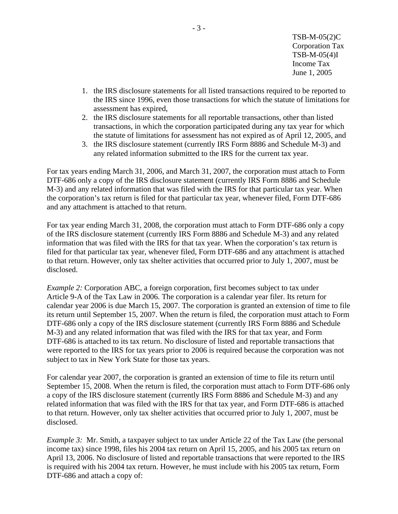- 1. the IRS disclosure statements for all listed transactions required to be reported to the IRS since 1996, even those transactions for which the statute of limitations for assessment has expired,
- 2. the IRS disclosure statements for all reportable transactions, other than listed transactions, in which the corporation participated during any tax year for which the statute of limitations for assessment has not expired as of April 12, 2005, and
- 3. the IRS disclosure statement (currently IRS Form 8886 and Schedule M-3) and any related information submitted to the IRS for the current tax year.

For tax years ending March 31, 2006, and March 31, 2007, the corporation must attach to Form DTF-686 only a copy of the IRS disclosure statement (currently IRS Form 8886 and Schedule M-3) and any related information that was filed with the IRS for that particular tax year. When the corporation's tax return is filed for that particular tax year, whenever filed, Form DTF-686 and any attachment is attached to that return.

For tax year ending March 31, 2008, the corporation must attach to Form DTF-686 only a copy of the IRS disclosure statement (currently IRS Form 8886 and Schedule M-3) and any related information that was filed with the IRS for that tax year. When the corporation's tax return is filed for that particular tax year, whenever filed, Form DTF-686 and any attachment is attached to that return. However, only tax shelter activities that occurred prior to July 1, 2007, must be disclosed.

*Example 2:* Corporation ABC, a foreign corporation, first becomes subject to tax under Article 9-A of the Tax Law in 2006. The corporation is a calendar year filer. Its return for calendar year 2006 is due March 15, 2007. The corporation is granted an extension of time to file its return until September 15, 2007. When the return is filed, the corporation must attach to Form DTF-686 only a copy of the IRS disclosure statement (currently IRS Form 8886 and Schedule M-3) and any related information that was filed with the IRS for that tax year, and Form DTF-686 is attached to its tax return. No disclosure of listed and reportable transactions that were reported to the IRS for tax years prior to 2006 is required because the corporation was not subject to tax in New York State for those tax years.

For calendar year 2007, the corporation is granted an extension of time to file its return until September 15, 2008. When the return is filed, the corporation must attach to Form DTF-686 only a copy of the IRS disclosure statement (currently IRS Form 8886 and Schedule M-3) and any related information that was filed with the IRS for that tax year, and Form DTF-686 is attached to that return. However, only tax shelter activities that occurred prior to July 1, 2007, must be disclosed.

*Example 3:* Mr. Smith, a taxpayer subject to tax under Article 22 of the Tax Law (the personal income tax) since 1998, files his 2004 tax return on April 15, 2005, and his 2005 tax return on April 13, 2006. No disclosure of listed and reportable transactions that were reported to the IRS is required with his 2004 tax return. However, he must include with his 2005 tax return, Form DTF-686 and attach a copy of: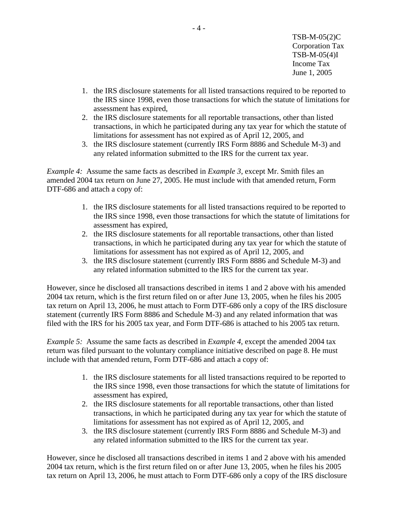- 1. the IRS disclosure statements for all listed transactions required to be reported to the IRS since 1998, even those transactions for which the statute of limitations for assessment has expired,
- 2. the IRS disclosure statements for all reportable transactions, other than listed transactions, in which he participated during any tax year for which the statute of limitations for assessment has not expired as of April 12, 2005, and
- 3. the IRS disclosure statement (currently IRS Form 8886 and Schedule M-3) and any related information submitted to the IRS for the current tax year.

*Example 4:* Assume the same facts as described in *Example 3*, except Mr. Smith files an amended 2004 tax return on June 27, 2005. He must include with that amended return, Form DTF-686 and attach a copy of:

- 1. the IRS disclosure statements for all listed transactions required to be reported to the IRS since 1998, even those transactions for which the statute of limitations for assessment has expired,
- 2. the IRS disclosure statements for all reportable transactions, other than listed transactions, in which he participated during any tax year for which the statute of limitations for assessment has not expired as of April 12, 2005, and
- 3. the IRS disclosure statement (currently IRS Form 8886 and Schedule M-3) and any related information submitted to the IRS for the current tax year.

However, since he disclosed all transactions described in items 1 and 2 above with his amended 2004 tax return, which is the first return filed on or after June 13, 2005, when he files his 2005 tax return on April 13, 2006, he must attach to Form DTF-686 only a copy of the IRS disclosure statement (currently IRS Form 8886 and Schedule M-3) and any related information that was filed with the IRS for his 2005 tax year, and Form DTF-686 is attached to his 2005 tax return.

*Example 5:* Assume the same facts as described in *Example 4*, except the amended 2004 tax return was filed pursuant to the voluntary compliance initiative described on page 8. He must include with that amended return, Form DTF-686 and attach a copy of:

- 1. the IRS disclosure statements for all listed transactions required to be reported to the IRS since 1998, even those transactions for which the statute of limitations for assessment has expired,
- 2. the IRS disclosure statements for all reportable transactions, other than listed transactions, in which he participated during any tax year for which the statute of limitations for assessment has not expired as of April 12, 2005, and
- 3. the IRS disclosure statement (currently IRS Form 8886 and Schedule M-3) and any related information submitted to the IRS for the current tax year.

However, since he disclosed all transactions described in items 1 and 2 above with his amended 2004 tax return, which is the first return filed on or after June 13, 2005, when he files his 2005 tax return on April 13, 2006, he must attach to Form DTF-686 only a copy of the IRS disclosure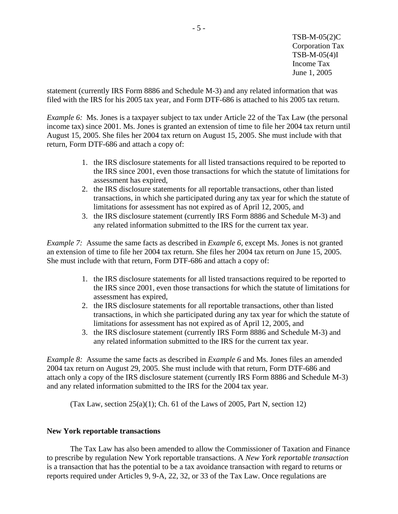statement (currently IRS Form 8886 and Schedule M-3) and any related information that was filed with the IRS for his 2005 tax year, and Form DTF-686 is attached to his 2005 tax return.

*Example 6:* Ms. Jones is a taxpayer subject to tax under Article 22 of the Tax Law (the personal income tax) since 2001. Ms. Jones is granted an extension of time to file her 2004 tax return until August 15, 2005. She files her 2004 tax return on August 15, 2005. She must include with that return, Form DTF-686 and attach a copy of:

- 1. the IRS disclosure statements for all listed transactions required to be reported to the IRS since 2001, even those transactions for which the statute of limitations for assessment has expired,
- 2. the IRS disclosure statements for all reportable transactions, other than listed transactions, in which she participated during any tax year for which the statute of limitations for assessment has not expired as of April 12, 2005, and
- 3. the IRS disclosure statement (currently IRS Form 8886 and Schedule M-3) and any related information submitted to the IRS for the current tax year.

*Example 7:* Assume the same facts as described in *Example 6*, except Ms. Jones is not granted an extension of time to file her 2004 tax return. She files her 2004 tax return on June 15, 2005. She must include with that return, Form DTF-686 and attach a copy of:

- 1. the IRS disclosure statements for all listed transactions required to be reported to the IRS since 2001, even those transactions for which the statute of limitations for assessment has expired,
- 2. the IRS disclosure statements for all reportable transactions, other than listed transactions, in which she participated during any tax year for which the statute of limitations for assessment has not expired as of April 12, 2005, and
- 3. the IRS disclosure statement (currently IRS Form 8886 and Schedule M-3) and any related information submitted to the IRS for the current tax year.

*Example 8:* Assume the same facts as described in *Example 6* and Ms. Jones files an amended 2004 tax return on August 29, 2005. She must include with that return, Form DTF-686 and attach only a copy of the IRS disclosure statement (currently IRS Form 8886 and Schedule M-3) and any related information submitted to the IRS for the 2004 tax year.

(Tax Law, section  $25(a)(1)$ ; Ch. 61 of the Laws of 2005, Part N, section 12)

#### **New York reportable transactions**

The Tax Law has also been amended to allow the Commissioner of Taxation and Finance to prescribe by regulation New York reportable transactions. A *New York reportable transaction*  is a transaction that has the potential to be a tax avoidance transaction with regard to returns or reports required under Articles 9, 9-A, 22, 32, or 33 of the Tax Law. Once regulations are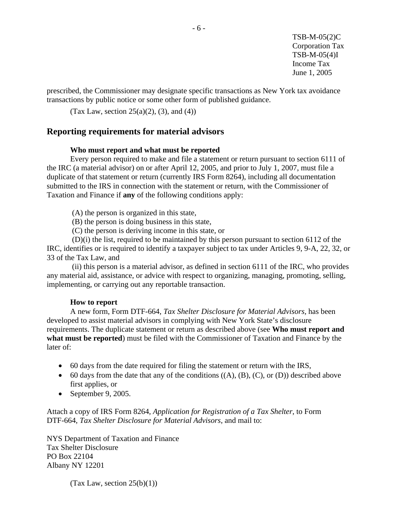prescribed, the Commissioner may designate specific transactions as New York tax avoidance transactions by public notice or some other form of published guidance.

(Tax Law, section 25(a)(2), (3), and (4))

### **Reporting requirements for material advisors**

#### **Who must report and what must be reported**

Every person required to make and file a statement or return pursuant to section 6111 of the IRC (a material advisor) on or after April 12, 2005, and prior to July 1, 2007, must file a duplicate of that statement or return (currently IRS Form 8264), including all documentation submitted to the IRS in connection with the statement or return, with the Commissioner of Taxation and Finance if **any** of the following conditions apply:

(A) the person is organized in this state,

- (B) the person is doing business in this state,
- (C) the person is deriving income in this state, or

 (D)(i) the list, required to be maintained by this person pursuant to section 6112 of the IRC, identifies or is required to identify a taxpayer subject to tax under Articles 9, 9-A, 22, 32, or 33 of the Tax Law, and

(ii) this person is a material advisor, as defined in section 6111 of the IRC, who provides any material aid, assistance, or advice with respect to organizing, managing, promoting, selling, implementing, or carrying out any reportable transaction.

#### **How to report**

A new form, Form DTF-664, *Tax Shelter Disclosure for Material Advisors,* has been developed to assist material advisors in complying with New York State's disclosure requirements. The duplicate statement or return as described above (see **Who must report and what must be reported**) must be filed with the Commissioner of Taxation and Finance by the later of:

- 60 days from the date required for filing the statement or return with the IRS,
- $\bullet$  60 days from the date that any of the conditions  $((A), (B), (C),$  or  $(D))$  described above first applies, or
- September 9, 2005.

Attach a copy of IRS Form 8264, *Application for Registration of a Tax Shelter*, to Form DTF-664, *Tax Shelter Disclosure for Material Advisors*, and mail to:

NYS Department of Taxation and Finance Tax Shelter Disclosure PO Box 22104 Albany NY 12201

(Tax Law, section  $25(b)(1)$ )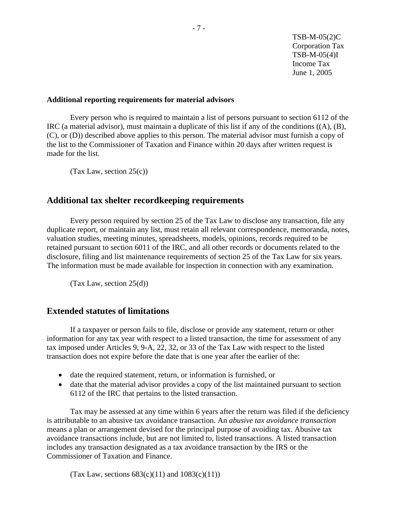#### **Additional reporting requirements for material advisors**

Every person who is required to maintain a list of persons pursuant to section 6112 of the IRC (a material advisor), must maintain a duplicate of this list if any of the conditions ((A), (B), (C), or (D)) described above applies to this person. The material advisor must furnish a copy of the list to the Commissioner of Taxation and Finance within 20 days after written request is made for the list.

(Tax Law, section  $25(c)$ )

## **Additional tax shelter recordkeeping requirements**

Every person required by section 25 of the Tax Law to disclose any transaction, file any duplicate report, or maintain any list, must retain all relevant correspondence, memoranda, notes, valuation studies, meeting minutes, spreadsheets, models, opinions, records required to be retained pursuant to section 6011 of the IRC, and all other records or documents related to the disclosure, filing and list maintenance requirements of section 25 of the Tax Law for six years. The information must be made available for inspection in connection with any examination.

 $(Tax Law, section 25(d))$ 

### **Extended statutes of limitations**

If a taxpayer or person fails to file, disclose or provide any statement, return or other information for any tax year with respect to a listed transaction, the time for assessment of any tax imposed under Articles 9, 9-A, 22, 32, or 33 of the Tax Law with respect to the listed transaction does not expire before the date that is one year after the earlier of the:

- date the required statement, return, or information is furnished, or
- date that the material advisor provides a copy of the list maintained pursuant to section 6112 of the IRC that pertains to the listed transaction.

Tax may be assessed at any time within 6 years after the return was filed if the deficiency is attributable to an abusive tax avoidance transaction. An *abusive tax avoidance transaction*  means a plan or arrangement devised for the principal purpose of avoiding tax. Abusive tax avoidance transactions include, but are not limited to, listed transactions. A listed transaction includes any transaction designated as a tax avoidance transaction by the IRS or the Commissioner of Taxation and Finance.

(Tax Law, sections  $683(c)(11)$  and  $1083(c)(11)$ )